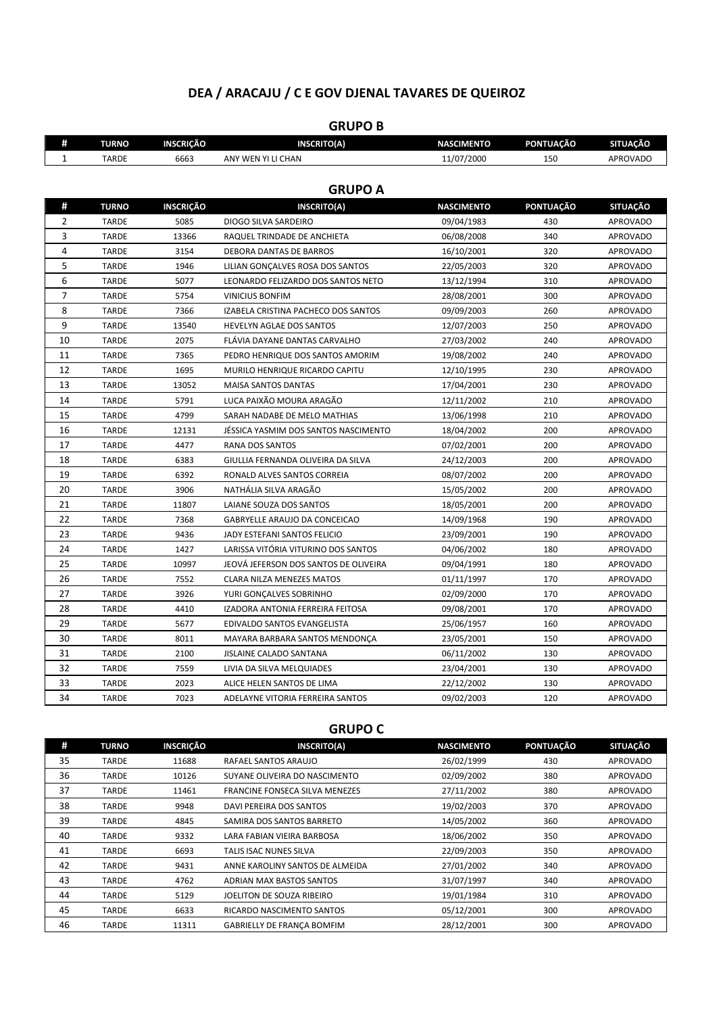## **DEA / ARACAJU / C E GOV DJENAL TAVARES DE QUEIROZ**

| #              | <b>TURNO</b>   | INSCRIÇÃO        | <b>INSCRITO(A)</b>                    | <b>NASCIMENTO</b> | PONTUAÇÃO        | <b>SITUAÇÃO</b> |  |  |
|----------------|----------------|------------------|---------------------------------------|-------------------|------------------|-----------------|--|--|
| $\mathbf{1}$   | <b>TARDE</b>   | 6663             | ANY WEN YI LI CHAN                    | 11/07/2000        | 150              | <b>APROVADO</b> |  |  |
|                |                |                  |                                       |                   |                  |                 |  |  |
|                | <b>GRUPO A</b> |                  |                                       |                   |                  |                 |  |  |
| #              | <b>TURNO</b>   | <b>INSCRIÇÃO</b> | <b>INSCRITO(A)</b>                    | <b>NASCIMENTO</b> | <b>PONTUAÇÃO</b> | <b>SITUAÇÃO</b> |  |  |
| $\overline{2}$ | <b>TARDE</b>   | 5085             | DIOGO SILVA SARDEIRO                  | 09/04/1983        | 430              | APROVADO        |  |  |
| 3              | <b>TARDE</b>   | 13366            | RAQUEL TRINDADE DE ANCHIETA           | 06/08/2008        | 340              | <b>APROVADO</b> |  |  |
| 4              | <b>TARDE</b>   | 3154             | DEBORA DANTAS DE BARROS               | 16/10/2001        | 320              | APROVADO        |  |  |
| 5              | <b>TARDE</b>   | 1946             | LILIAN GONCALVES ROSA DOS SANTOS      | 22/05/2003        | 320              | <b>APROVADO</b> |  |  |
| 6              | <b>TARDE</b>   | 5077             | LEONARDO FELIZARDO DOS SANTOS NETO    | 13/12/1994        | 310              | <b>APROVADO</b> |  |  |
| $\overline{7}$ | <b>TARDE</b>   | 5754             | <b>VINICIUS BONFIM</b>                | 28/08/2001        | 300              | <b>APROVADO</b> |  |  |
| 8              | <b>TARDE</b>   | 7366             | IZABELA CRISTINA PACHECO DOS SANTOS   | 09/09/2003        | 260              | <b>APROVADO</b> |  |  |
| 9              | <b>TARDE</b>   | 13540            | HEVELYN AGLAE DOS SANTOS              | 12/07/2003        | 250              | <b>APROVADO</b> |  |  |
| 10             | <b>TARDE</b>   | 2075             | FLÁVIA DAYANE DANTAS CARVALHO         | 27/03/2002        | 240              | <b>APROVADO</b> |  |  |
| 11             | <b>TARDE</b>   | 7365             | PEDRO HENRIQUE DOS SANTOS AMORIM      | 19/08/2002        | 240              | <b>APROVADO</b> |  |  |
| 12             | <b>TARDE</b>   | 1695             | MURILO HENRIQUE RICARDO CAPITU        | 12/10/1995        | 230              | <b>APROVADO</b> |  |  |
| 13             | <b>TARDE</b>   | 13052            | <b>MAISA SANTOS DANTAS</b>            | 17/04/2001        | 230              | <b>APROVADO</b> |  |  |
| 14             | <b>TARDE</b>   | 5791             | LUCA PAIXÃO MOURA ARAGÃO              | 12/11/2002        | 210              | APROVADO        |  |  |
| 15             | <b>TARDE</b>   | 4799             | SARAH NADABE DE MELO MATHIAS          | 13/06/1998        | 210              | <b>APROVADO</b> |  |  |
| 16             | <b>TARDE</b>   | 12131            | JÉSSICA YASMIM DOS SANTOS NASCIMENTO  | 18/04/2002        | 200              | <b>APROVADO</b> |  |  |
| 17             | <b>TARDE</b>   | 4477             | RANA DOS SANTOS                       | 07/02/2001        | 200              | <b>APROVADO</b> |  |  |
| 18             | <b>TARDE</b>   | 6383             | GIULLIA FERNANDA OLIVEIRA DA SILVA    | 24/12/2003        | 200              | <b>APROVADO</b> |  |  |
| 19             | <b>TARDE</b>   | 6392             | RONALD ALVES SANTOS CORREIA           | 08/07/2002        | 200              | APROVADO        |  |  |
| 20             | <b>TARDE</b>   | 3906             | NATHÁLIA SILVA ARAGÃO                 | 15/05/2002        | 200              | <b>APROVADO</b> |  |  |
| 21             | <b>TARDE</b>   | 11807            | LAIANE SOUZA DOS SANTOS               | 18/05/2001        | 200              | <b>APROVADO</b> |  |  |
| 22             | <b>TARDE</b>   | 7368             | GABRYELLE ARAUJO DA CONCEICAO         | 14/09/1968        | 190              | <b>APROVADO</b> |  |  |
| 23             | <b>TARDE</b>   | 9436             | JADY ESTEFANI SANTOS FELICIO          | 23/09/2001        | 190              | APROVADO        |  |  |
| 24             | <b>TARDE</b>   | 1427             | LARISSA VITÓRIA VITURINO DOS SANTOS   | 04/06/2002        | 180              | APROVADO        |  |  |
| 25             | <b>TARDE</b>   | 10997            | JEOVÁ JEFERSON DOS SANTOS DE OLIVEIRA | 09/04/1991        | 180              | APROVADO        |  |  |
| 26             | <b>TARDE</b>   | 7552             | <b>CLARA NILZA MENEZES MATOS</b>      | 01/11/1997        | 170              | <b>APROVADO</b> |  |  |
| 27             | <b>TARDE</b>   | 3926             | YURI GONCALVES SOBRINHO               | 02/09/2000        | 170              | <b>APROVADO</b> |  |  |
| 28             | <b>TARDE</b>   | 4410             | IZADORA ANTONIA FERREIRA FEITOSA      | 09/08/2001        | 170              | <b>APROVADO</b> |  |  |
| 29             | <b>TARDE</b>   | 5677             | EDIVALDO SANTOS EVANGELISTA           | 25/06/1957        | 160              | <b>APROVADO</b> |  |  |
| 30             | <b>TARDE</b>   | 8011             | MAYARA BARBARA SANTOS MENDONÇA        | 23/05/2001        | 150              | <b>APROVADO</b> |  |  |
| 31             | <b>TARDE</b>   | 2100             | JISLAINE CALADO SANTANA               | 06/11/2002        | 130              | <b>APROVADO</b> |  |  |
| 32             | <b>TARDE</b>   | 7559             | LIVIA DA SILVA MELQUIADES             | 23/04/2001        | 130              | APROVADO        |  |  |
| 33             | <b>TARDE</b>   | 2023             | ALICE HELEN SANTOS DE LIMA            | 22/12/2002        | 130              | APROVADO        |  |  |
| 34             | <b>TARDE</b>   | 7023             | ADELAYNE VITORIA FERREIRA SANTOS      | 09/02/2003        | 120              | <b>APROVADO</b> |  |  |
|                |                |                  |                                       |                   |                  |                 |  |  |

## **GRUPO B**

## **GRUPO C**

| #  | <b>TURNO</b> | INSCRIÇÃO | <b>INSCRITO(A)</b>                    | <b>NASCIMENTO</b> | <b>PONTUAÇÃO</b> | <b>SITUAÇÃO</b> |
|----|--------------|-----------|---------------------------------------|-------------------|------------------|-----------------|
| 35 | <b>TARDE</b> | 11688     | RAFAEL SANTOS ARAUJO                  | 26/02/1999        | 430              | <b>APROVADO</b> |
| 36 | TARDE        | 10126     | SUYANE OLIVEIRA DO NASCIMENTO         | 02/09/2002        | 380              | <b>APROVADO</b> |
| 37 | <b>TARDE</b> | 11461     | <b>FRANCINE FONSECA SILVA MENEZES</b> | 27/11/2002        | 380              | <b>APROVADO</b> |
| 38 | <b>TARDE</b> | 9948      | DAVI PEREIRA DOS SANTOS               | 19/02/2003        | 370              | APROVADO        |
| 39 | TARDE        | 4845      | SAMIRA DOS SANTOS BARRETO             | 14/05/2002        | 360              | <b>APROVADO</b> |
| 40 | <b>TARDE</b> | 9332      | LARA FABIAN VIEIRA BARBOSA            | 18/06/2002        | 350              | APROVADO        |
| 41 | <b>TARDE</b> | 6693      | TALIS ISAC NUNES SILVA                | 22/09/2003        | 350              | <b>APROVADO</b> |
| 42 | TARDE        | 9431      | ANNE KAROLINY SANTOS DE ALMEIDA       | 27/01/2002        | 340              | <b>APROVADO</b> |
| 43 | TARDE        | 4762      | <b>ADRIAN MAX BASTOS SANTOS</b>       | 31/07/1997        | 340              | <b>APROVADO</b> |
| 44 | <b>TARDE</b> | 5129      | JOELITON DE SOUZA RIBEIRO             | 19/01/1984        | 310              | APROVADO        |
| 45 | <b>TARDE</b> | 6633      | RICARDO NASCIMENTO SANTOS             | 05/12/2001        | 300              | APROVADO        |
| 46 | <b>TARDE</b> | 11311     | GABRIELLY DE FRANÇA BOMFIM            | 28/12/2001        | 300              | APROVADO        |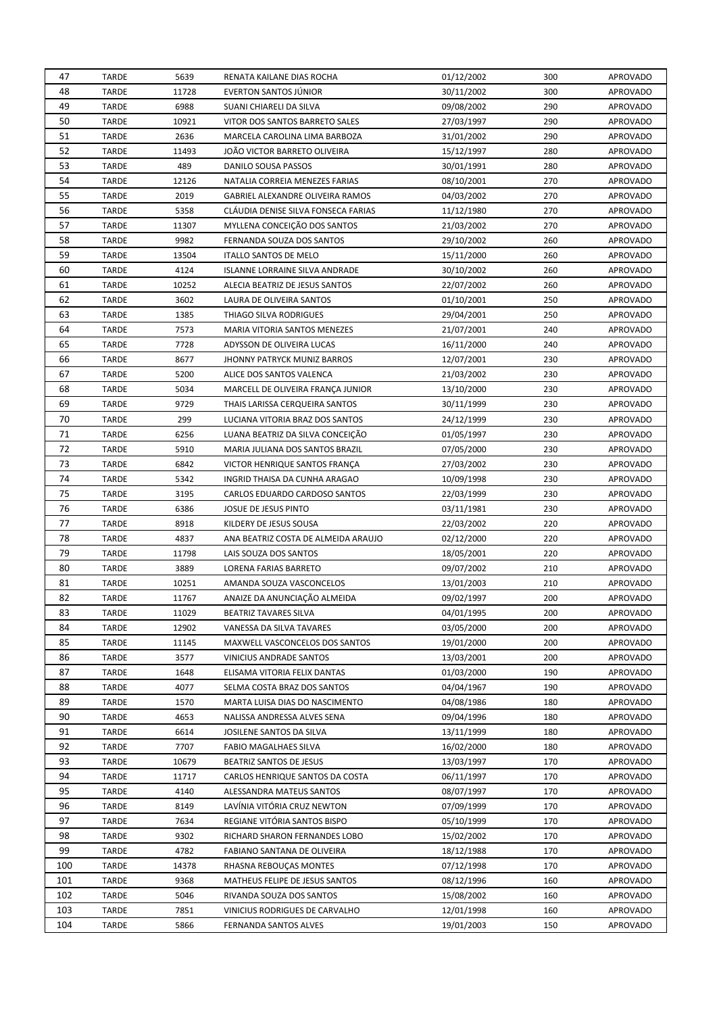| 47         | <b>TARDE</b>                 | 5639         | RENATA KAILANE DIAS ROCHA           | 01/12/2002               | 300        | <b>APROVADO</b>             |
|------------|------------------------------|--------------|-------------------------------------|--------------------------|------------|-----------------------------|
| 48         | TARDE                        | 11728        | <b>EVERTON SANTOS JÚNIOR</b>        | 30/11/2002               | 300        | <b>APROVADO</b>             |
| 49         | <b>TARDE</b>                 | 6988         | SUANI CHIARELI DA SILVA             | 09/08/2002               | 290        | <b>APROVADO</b>             |
| 50         | <b>TARDE</b>                 | 10921        | VITOR DOS SANTOS BARRETO SALES      | 27/03/1997               | 290        | <b>APROVADO</b>             |
| 51         | <b>TARDE</b>                 | 2636         | MARCELA CAROLINA LIMA BARBOZA       | 31/01/2002               | 290        | <b>APROVADO</b>             |
| 52         | <b>TARDE</b>                 | 11493        | JOÃO VICTOR BARRETO OLIVEIRA        | 15/12/1997               | 280        | <b>APROVADO</b>             |
| 53         | <b>TARDE</b>                 | 489          | DANILO SOUSA PASSOS                 | 30/01/1991               | 280        | <b>APROVADO</b>             |
| 54         | <b>TARDE</b>                 | 12126        | NATALIA CORREIA MENEZES FARIAS      | 08/10/2001               | 270        | <b>APROVADO</b>             |
| 55         | TARDE                        | 2019         | GABRIEL ALEXANDRE OLIVEIRA RAMOS    | 04/03/2002               | 270        | <b>APROVADO</b>             |
| 56         | <b>TARDE</b>                 | 5358         | CLÁUDIA DENISE SILVA FONSECA FARIAS | 11/12/1980               | 270        | <b>APROVADO</b>             |
| 57         | TARDE                        | 11307        | MYLLENA CONCEIÇÃO DOS SANTOS        | 21/03/2002               | 270        | APROVADO                    |
| 58         | <b>TARDE</b>                 | 9982         | FERNANDA SOUZA DOS SANTOS           | 29/10/2002               | 260        | <b>APROVADO</b>             |
| 59         | <b>TARDE</b>                 | 13504        | ITALLO SANTOS DE MELO               | 15/11/2000               | 260        | <b>APROVADO</b>             |
| 60         | <b>TARDE</b>                 | 4124         | ISLANNE LORRAINE SILVA ANDRADE      | 30/10/2002               | 260        | <b>APROVADO</b>             |
| 61         | TARDE                        | 10252        | ALECIA BEATRIZ DE JESUS SANTOS      | 22/07/2002               | 260        | APROVADO                    |
| 62         | <b>TARDE</b>                 | 3602         | LAURA DE OLIVEIRA SANTOS            | 01/10/2001               | 250        | <b>APROVADO</b>             |
| 63         | TARDE                        | 1385         | THIAGO SILVA RODRIGUES              | 29/04/2001               | 250        | <b>APROVADO</b>             |
| 64         | TARDE                        | 7573         | MARIA VITORIA SANTOS MENEZES        | 21/07/2001               | 240        | <b>APROVADO</b>             |
| 65         | <b>TARDE</b>                 | 7728         | ADYSSON DE OLIVEIRA LUCAS           | 16/11/2000               | 240        | <b>APROVADO</b>             |
| 66         | <b>TARDE</b>                 | 8677         | <b>JHONNY PATRYCK MUNIZ BARROS</b>  | 12/07/2001               | 230        | <b>APROVADO</b>             |
| 67         | <b>TARDE</b>                 | 5200         | ALICE DOS SANTOS VALENCA            | 21/03/2002               | 230        | <b>APROVADO</b>             |
| 68         | <b>TARDE</b>                 | 5034         | MARCELL DE OLIVEIRA FRANÇA JUNIOR   | 13/10/2000               | 230        | <b>APROVADO</b>             |
| 69         | <b>TARDE</b>                 | 9729         | THAIS LARISSA CERQUEIRA SANTOS      | 30/11/1999               | 230        | <b>APROVADO</b>             |
| 70         | <b>TARDE</b>                 | 299          | LUCIANA VITORIA BRAZ DOS SANTOS     | 24/12/1999               | 230        | <b>APROVADO</b>             |
| 71         | <b>TARDE</b>                 | 6256         | LUANA BEATRIZ DA SILVA CONCEIÇÃO    | 01/05/1997               | 230        | <b>APROVADO</b>             |
| 72         | <b>TARDE</b>                 | 5910         | MARIA JULIANA DOS SANTOS BRAZIL     |                          | 230        | <b>APROVADO</b>             |
| 73         |                              |              |                                     | 07/05/2000               |            |                             |
| 74         | TARDE                        | 6842         | VICTOR HENRIQUE SANTOS FRANÇA       | 27/03/2002               | 230        | <b>APROVADO</b>             |
| 75         | <b>TARDE</b>                 | 5342         | INGRID THAISA DA CUNHA ARAGAO       | 10/09/1998               | 230        | <b>APROVADO</b>             |
|            | <b>TARDE</b>                 | 3195         | CARLOS EDUARDO CARDOSO SANTOS       | 22/03/1999               | 230        | <b>APROVADO</b>             |
|            |                              |              |                                     |                          |            |                             |
| 76         | <b>TARDE</b>                 | 6386         | JOSUE DE JESUS PINTO                | 03/11/1981               | 230        | <b>APROVADO</b>             |
| 77         | <b>TARDE</b>                 | 8918         | KILDERY DE JESUS SOUSA              | 22/03/2002               | 220        | <b>APROVADO</b>             |
| 78         | TARDE                        | 4837         | ANA BEATRIZ COSTA DE ALMEIDA ARAUJO | 02/12/2000               | 220        | <b>APROVADO</b>             |
| 79         | <b>TARDE</b>                 | 11798        | LAIS SOUZA DOS SANTOS               | 18/05/2001               | 220        | <b>APROVADO</b>             |
| 80         | TARDE                        | 3889         | LORENA FARIAS BARRETO               | 09/07/2002               | 210        | <b>APROVADO</b>             |
| 81         | TARDE                        | 10251        | AMANDA SOUZA VASCONCELOS            | 13/01/2003               | 210        | <b>APROVADO</b>             |
| 82         | <b>TARDE</b>                 | 11767        | ANAIZE DA ANUNCIAÇÃO ALMEIDA        | 09/02/1997               | 200        | <b>APROVADO</b>             |
| 83         | <b>TARDE</b>                 | 11029        | <b>BEATRIZ TAVARES SILVA</b>        | 04/01/1995               | 200        | <b>APROVADO</b>             |
| 84         | <b>TARDE</b>                 | 12902        | <b>VANESSA DA SILVA TAVARES</b>     | 03/05/2000               | 200        | <b>APROVADO</b>             |
| 85         | <b>TARDE</b>                 | 11145        | MAXWELL VASCONCELOS DOS SANTOS      | 19/01/2000               | 200        | <b>APROVADO</b>             |
| 86         | <b>TARDE</b>                 | 3577         | VINICIUS ANDRADE SANTOS             | 13/03/2001               | 200        | <b>APROVADO</b>             |
| 87         | <b>TARDE</b>                 | 1648         | ELISAMA VITORIA FELIX DANTAS        | 01/03/2000               | 190        | <b>APROVADO</b>             |
| 88         | <b>TARDE</b>                 | 4077         | SELMA COSTA BRAZ DOS SANTOS         | 04/04/1967               | 190        | <b>APROVADO</b>             |
| 89         | <b>TARDE</b>                 | 1570         | MARTA LUISA DIAS DO NASCIMENTO      | 04/08/1986               | 180        | <b>APROVADO</b>             |
| 90         | TARDE                        | 4653         | NALISSA ANDRESSA ALVES SENA         | 09/04/1996               | 180        | <b>APROVADO</b>             |
| 91         | <b>TARDE</b>                 | 6614         | JOSILENE SANTOS DA SILVA            | 13/11/1999               | 180        | <b>APROVADO</b>             |
| 92         | <b>TARDE</b>                 | 7707         | FABIO MAGALHAES SILVA               | 16/02/2000               | 180        | APROVADO                    |
| 93         | <b>TARDE</b>                 | 10679        | BEATRIZ SANTOS DE JESUS             | 13/03/1997               | 170        | <b>APROVADO</b>             |
| 94         | TARDE                        | 11717        | CARLOS HENRIQUE SANTOS DA COSTA     | 06/11/1997               | 170        | APROVADO                    |
| 95         | <b>TARDE</b>                 | 4140         | ALESSANDRA MATEUS SANTOS            | 08/07/1997               | 170        | APROVADO                    |
| 96         | <b>TARDE</b>                 | 8149         | LAVÍNIA VITÓRIA CRUZ NEWTON         | 07/09/1999               | 170        | APROVADO                    |
| 97         | <b>TARDE</b>                 | 7634         | REGIANE VITÓRIA SANTOS BISPO        | 05/10/1999               | 170        | APROVADO                    |
| 98         | TARDE                        | 9302         | RICHARD SHARON FERNANDES LOBO       | 15/02/2002               | 170        | APROVADO                    |
| 99         | <b>TARDE</b>                 | 4782         | FABIANO SANTANA DE OLIVEIRA         | 18/12/1988               | 170        | APROVADO                    |
| 100        | <b>TARDE</b>                 | 14378        | RHASNA REBOUÇAS MONTES              | 07/12/1998               | 170        | APROVADO                    |
| 101        | <b>TARDE</b>                 | 9368         | MATHEUS FELIPE DE JESUS SANTOS      | 08/12/1996               | 160        | <b>APROVADO</b>             |
| 102        | <b>TARDE</b>                 | 5046         | RIVANDA SOUZA DOS SANTOS            | 15/08/2002               | 160        | <b>APROVADO</b>             |
| 103<br>104 | <b>TARDE</b><br><b>TARDE</b> | 7851<br>5866 | VINICIUS RODRIGUES DE CARVALHO      | 12/01/1998<br>19/01/2003 | 160<br>150 | <b>APROVADO</b><br>APROVADO |